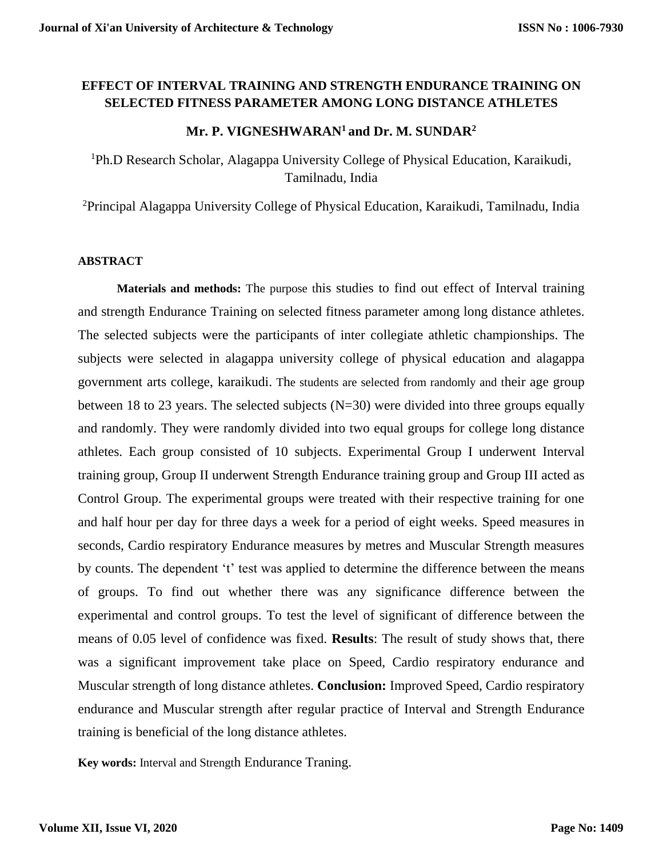## **EFFECT OF INTERVAL TRAINING AND STRENGTH ENDURANCE TRAINING ON SELECTED FITNESS PARAMETER AMONG LONG DISTANCE ATHLETES**

## **Mr. P. VIGNESHWARAN<sup>1</sup>and Dr. M. SUNDAR<sup>2</sup>**

<sup>1</sup>Ph.D Research Scholar, Alagappa University College of Physical Education, Karaikudi, Tamilnadu, India

<sup>2</sup>Principal Alagappa University College of Physical Education, Karaikudi, Tamilnadu, India

#### **ABSTRACT**

**Materials and methods:** The purpose this studies to find out effect of Interval training and strength Endurance Training on selected fitness parameter among long distance athletes. The selected subjects were the participants of inter collegiate athletic championships. The subjects were selected in alagappa university college of physical education and alagappa government arts college, karaikudi. The students are selected from randomly and their age group between 18 to 23 years. The selected subjects  $(N=30)$  were divided into three groups equally and randomly. They were randomly divided into two equal groups for college long distance athletes. Each group consisted of 10 subjects. Experimental Group I underwent Interval training group, Group II underwent Strength Endurance training group and Group III acted as Control Group. The experimental groups were treated with their respective training for one and half hour per day for three days a week for a period of eight weeks. Speed measures in seconds, Cardio respiratory Endurance measures by metres and Muscular Strength measures by counts. The dependent 't' test was applied to determine the difference between the means of groups. To find out whether there was any significance difference between the experimental and control groups. To test the level of significant of difference between the means of 0.05 level of confidence was fixed. **Results**: The result of study shows that, there was a significant improvement take place on Speed, Cardio respiratory endurance and Muscular strength of long distance athletes. **Conclusion:** Improved Speed, Cardio respiratory endurance and Muscular strength after regular practice of Interval and Strength Endurance training is beneficial of the long distance athletes.

**Key words:** Interval and Strength Endurance Traning.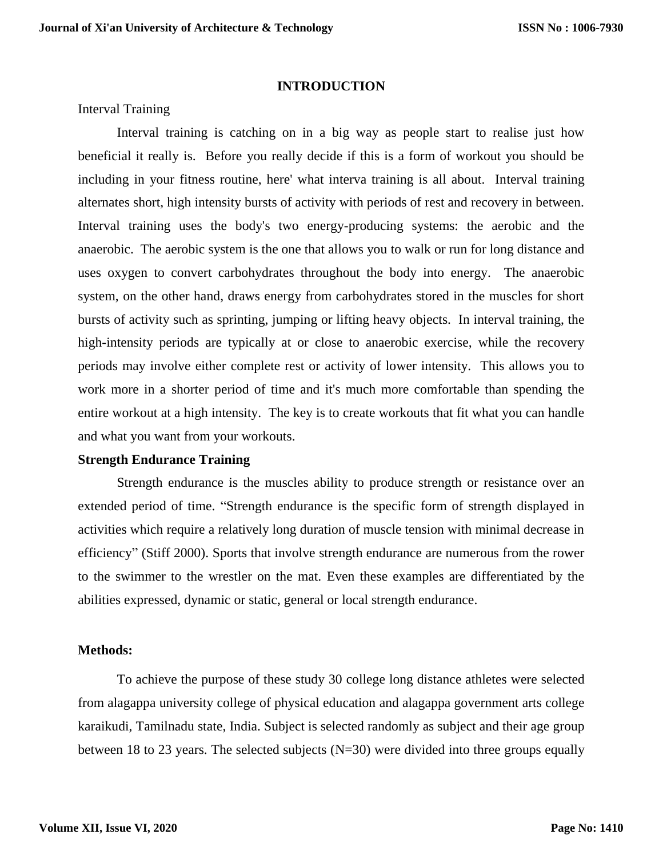### **INTRODUCTION**

Interval Training

Interval training is catching on in a big way as people start to realise just how beneficial it really is. Before you really decide if this is a form of workout you should be including in your fitness routine, here' what interva training is all about. Interval training alternates short, high intensity bursts of activity with periods of rest and recovery in between. Interval training uses the body's two energy-producing systems: the aerobic and the anaerobic. The aerobic system is the one that allows you to walk or run for long distance and uses oxygen to convert carbohydrates throughout the body into energy. The anaerobic system, on the other hand, draws energy from carbohydrates stored in the muscles for short bursts of activity such as sprinting, jumping or lifting heavy objects. In interval training, the high-intensity periods are typically at or close to anaerobic exercise, while the recovery periods may involve either complete rest or activity of lower intensity. This allows you to work more in a shorter period of time and it's much more comfortable than spending the entire workout at a high intensity. The key is to create workouts that fit what you can handle and what you want from your workouts.

### **Strength Endurance Training**

Strength endurance is the muscles ability to produce strength or resistance over an extended period of time. "Strength endurance is the specific form of strength displayed in activities which require a relatively long duration of muscle tension with minimal decrease in efficiency" (Stiff 2000). Sports that involve strength endurance are numerous from the rower to the swimmer to the wrestler on the mat. Even these examples are differentiated by the abilities expressed, dynamic or static, general or local strength endurance.

### **Methods:**

To achieve the purpose of these study 30 college long distance athletes were selected from alagappa university college of physical education and alagappa government arts college karaikudi, Tamilnadu state, India. Subject is selected randomly as subject and their age group between 18 to 23 years. The selected subjects (N=30) were divided into three groups equally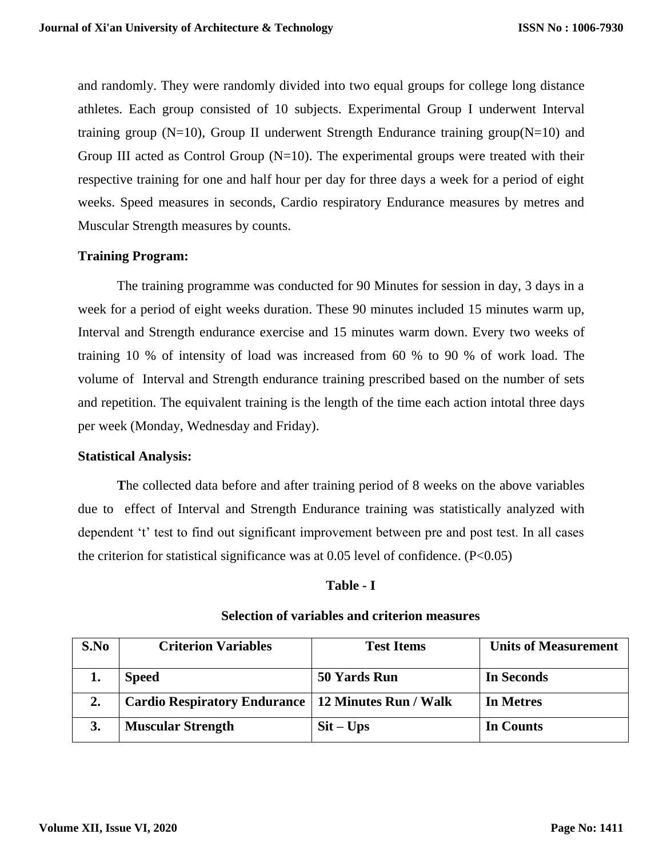and randomly. They were randomly divided into two equal groups for college long distance athletes. Each group consisted of 10 subjects. Experimental Group I underwent Interval training group ( $N=10$ ), Group II underwent Strength Endurance training group( $N=10$ ) and Group III acted as Control Group  $(N=10)$ . The experimental groups were treated with their respective training for one and half hour per day for three days a week for a period of eight weeks. Speed measures in seconds, Cardio respiratory Endurance measures by metres and Muscular Strength measures by counts.

## **Training Program:**

The training programme was conducted for 90 Minutes for session in day, 3 days in a week for a period of eight weeks duration. These 90 minutes included 15 minutes warm up, Interval and Strength endurance exercise and 15 minutes warm down. Every two weeks of training 10 % of intensity of load was increased from 60 % to 90 % of work load. The volume of Interval and Strength endurance training prescribed based on the number of sets and repetition. The equivalent training is the length of the time each action intotal three days per week (Monday, Wednesday and Friday).

### **Statistical Analysis:**

**T**he collected data before and after training period of 8 weeks on the above variables due to effect of Interval and Strength Endurance training was statistically analyzed with dependent 't' test to find out significant improvement between pre and post test. In all cases the criterion for statistical significance was at  $0.05$  level of confidence. (P<0.05)

### **Table - I**

| S.No | <b>Criterion Variables</b>                           | <b>Test Items</b>         | <b>Units of Measurement</b> |
|------|------------------------------------------------------|---------------------------|-----------------------------|
|      | <b>Speed</b>                                         | 50 Yards Run              | <b>In Seconds</b>           |
| 2.   | Cardio Respiratory Endurance   12 Minutes Run / Walk |                           | In Metres                   |
| 3.   | <b>Muscular Strength</b>                             | $\text{Sit} - \text{Ups}$ | In Counts                   |

### **Selection of variables and criterion measures**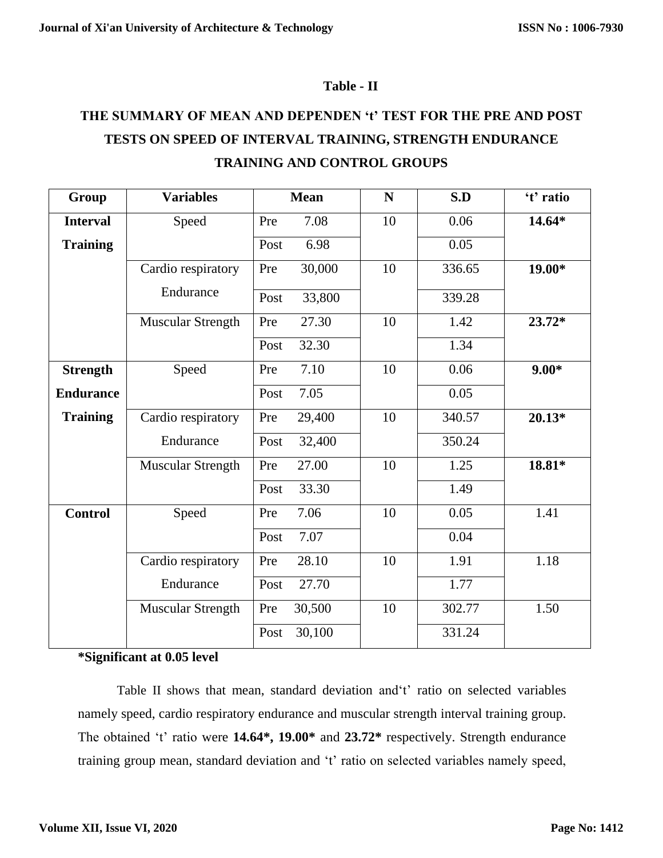## **Table - II**

# **THE SUMMARY OF MEAN AND DEPENDEN 't' TEST FOR THE PRE AND POST TESTS ON SPEED OF INTERVAL TRAINING, STRENGTH ENDURANCE TRAINING AND CONTROL GROUPS**

| Group            | <b>Variables</b>         | <b>Mean</b>    | N  | S.D    | 't' ratio |
|------------------|--------------------------|----------------|----|--------|-----------|
| <b>Interval</b>  | Speed                    | 7.08<br>Pre    | 10 | 0.06   | 14.64*    |
| <b>Training</b>  |                          | 6.98<br>Post   |    | 0.05   |           |
|                  | Cardio respiratory       | 30,000<br>Pre  | 10 | 336.65 | $19.00*$  |
|                  | Endurance                | 33,800<br>Post |    | 339.28 |           |
|                  | <b>Muscular Strength</b> | 27.30<br>Pre   | 10 | 1.42   | 23.72*    |
|                  |                          | 32.30<br>Post  |    | 1.34   |           |
| <b>Strength</b>  | Speed                    | 7.10<br>Pre    | 10 | 0.06   | $9.00*$   |
| <b>Endurance</b> |                          | 7.05<br>Post   |    | 0.05   |           |
| <b>Training</b>  | Cardio respiratory       | 29,400<br>Pre  | 10 | 340.57 | $20.13*$  |
|                  | Endurance                | 32,400<br>Post |    | 350.24 |           |
|                  | <b>Muscular Strength</b> | 27.00<br>Pre   | 10 | 1.25   | 18.81*    |
|                  |                          | 33.30<br>Post  |    | 1.49   |           |
| <b>Control</b>   | Speed                    | 7.06<br>Pre    | 10 | 0.05   | 1.41      |
|                  |                          | 7.07<br>Post   |    | 0.04   |           |
|                  | Cardio respiratory       | 28.10<br>Pre   | 10 | 1.91   | 1.18      |
|                  | Endurance                | 27.70<br>Post  |    | 1.77   |           |
|                  | <b>Muscular Strength</b> | 30,500<br>Pre  | 10 | 302.77 | 1.50      |
|                  |                          | 30,100<br>Post |    | 331.24 |           |

## **\*Significant at 0.05 level**

Table II shows that mean, standard deviation and't' ratio on selected variables namely speed, cardio respiratory endurance and muscular strength interval training group. The obtained 't' ratio were **14.64\*, 19.00\*** and **23.72\*** respectively. Strength endurance training group mean, standard deviation and 't' ratio on selected variables namely speed,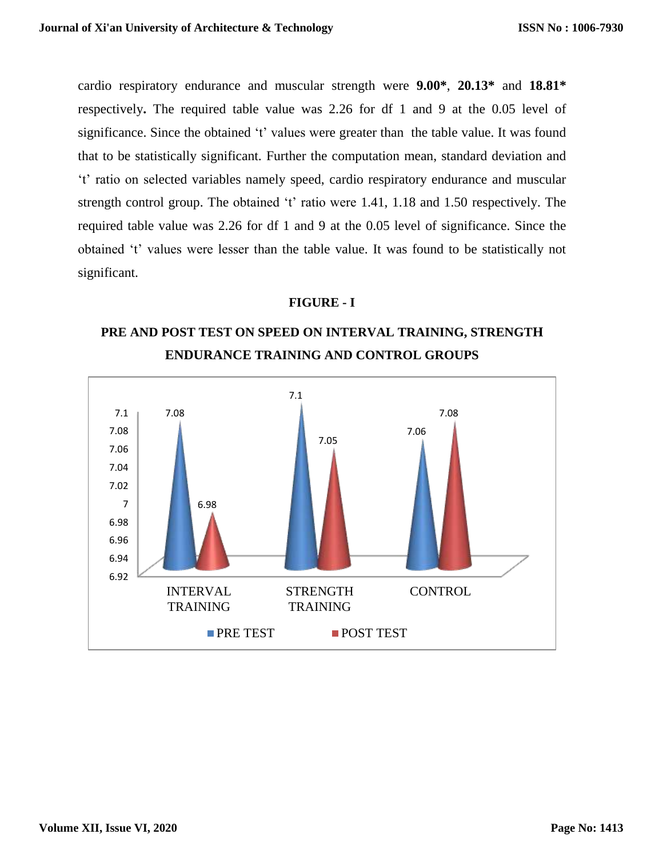cardio respiratory endurance and muscular strength were **9.00\***, **20.13\*** and **18.81\*** respectively**.** The required table value was 2.26 for df 1 and 9 at the 0.05 level of significance. Since the obtained 't' values were greater than the table value. It was found that to be statistically significant. Further the computation mean, standard deviation and 't' ratio on selected variables namely speed, cardio respiratory endurance and muscular strength control group. The obtained 't' ratio were 1.41, 1.18 and 1.50 respectively. The required table value was 2.26 for df 1 and 9 at the 0.05 level of significance. Since the obtained 't' values were lesser than the table value. It was found to be statistically not significant.

### **FIGURE - I**

## **PRE AND POST TEST ON SPEED ON INTERVAL TRAINING, STRENGTH ENDURANCE TRAINING AND CONTROL GROUPS**

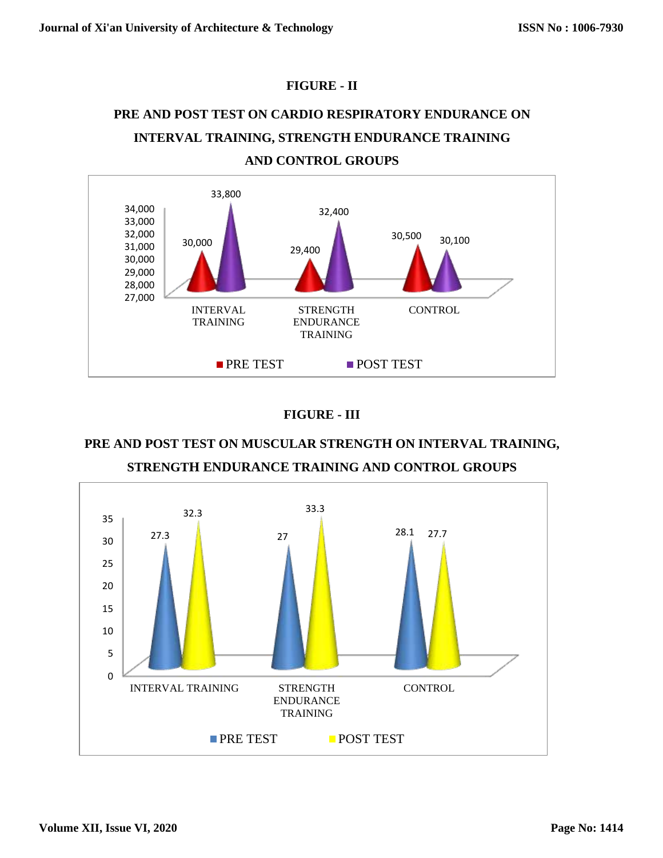## **FIGURE - II**

# **PRE AND POST TEST ON CARDIO RESPIRATORY ENDURANCE ON INTERVAL TRAINING, STRENGTH ENDURANCE TRAINING AND CONTROL GROUPS**



## **FIGURE - III**

## **PRE AND POST TEST ON MUSCULAR STRENGTH ON INTERVAL TRAINING, STRENGTH ENDURANCE TRAINING AND CONTROL GROUPS**

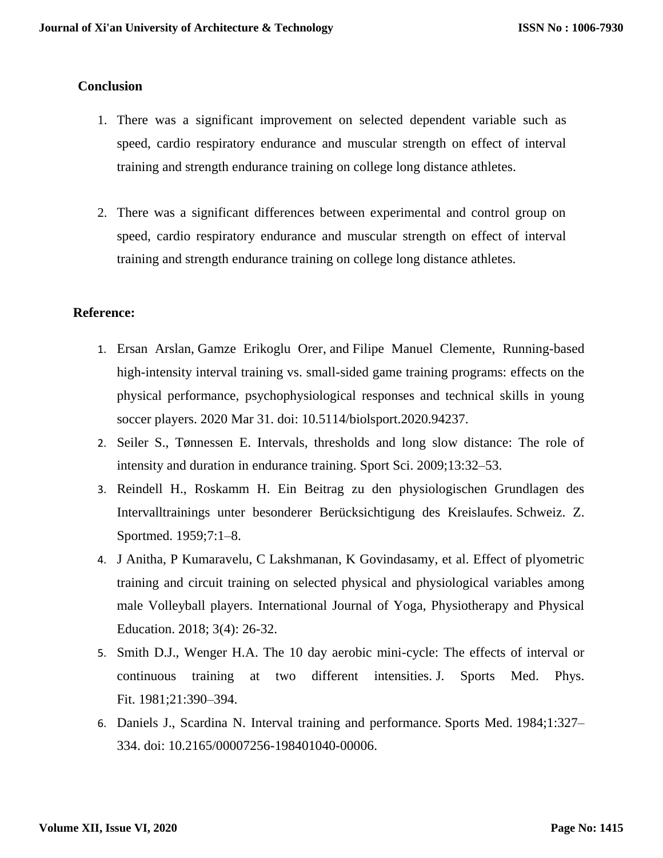## **Conclusion**

- 1. There was a significant improvement on selected dependent variable such as speed, cardio respiratory endurance and muscular strength on effect of interval training and strength endurance training on college long distance athletes.
- 2. There was a significant differences between experimental and control group on speed, cardio respiratory endurance and muscular strength on effect of interval training and strength endurance training on college long distance athletes.

## **Reference:**

- 1. [Ersan Arslan,](https://www.ncbi.nlm.nih.gov/pubmed/?term=Arslan%20E%5BAuthor%5D&cauthor=true&cauthor_uid=32508384) [Gamze Erikoglu Orer,](https://www.ncbi.nlm.nih.gov/pubmed/?term=Orer%20GE%5BAuthor%5D&cauthor=true&cauthor_uid=32508384) and [Filipe Manuel Clemente,](https://www.ncbi.nlm.nih.gov/pubmed/?term=Clemente%20FM%5BAuthor%5D&cauthor=true&cauthor_uid=32508384) Running-based high-intensity interval training vs. small-sided game training programs: effects on the physical performance, psychophysiological responses and technical skills in young soccer players. 2020 Mar 31. doi: [10.5114/biolsport.2020.94237.](https://dx.doi.org/10.5114%2Fbiolsport.2020.94237)
- 2. Seiler S., Tønnessen E. Intervals, thresholds and long slow distance: The role of intensity and duration in endurance training. Sport Sci. 2009;13:32–53.
- 3. Reindell H., Roskamm H. Ein Beitrag zu den physiologischen Grundlagen des Intervalltrainings unter besonderer Berücksichtigung des Kreislaufes. Schweiz. Z. Sportmed. 1959;7:1–8.
- 4. J Anitha, P Kumaravelu, C Lakshmanan, K Govindasamy, et al. Effect of plyometric training and circuit training on selected physical and physiological variables among male Volleyball players. International Journal of Yoga, Physiotherapy and Physical Education. 2018; 3(4): 26-32.
- 5. Smith D.J., Wenger H.A. The 10 day aerobic mini-cycle: The effects of interval or continuous training at two different intensities. J. Sports Med. Phys. Fit. 1981;21:390–394.
- 6. Daniels J., Scardina N. Interval training and performance. Sports Med. 1984;1:327– 334. doi: 10.2165/00007256-198401040-00006.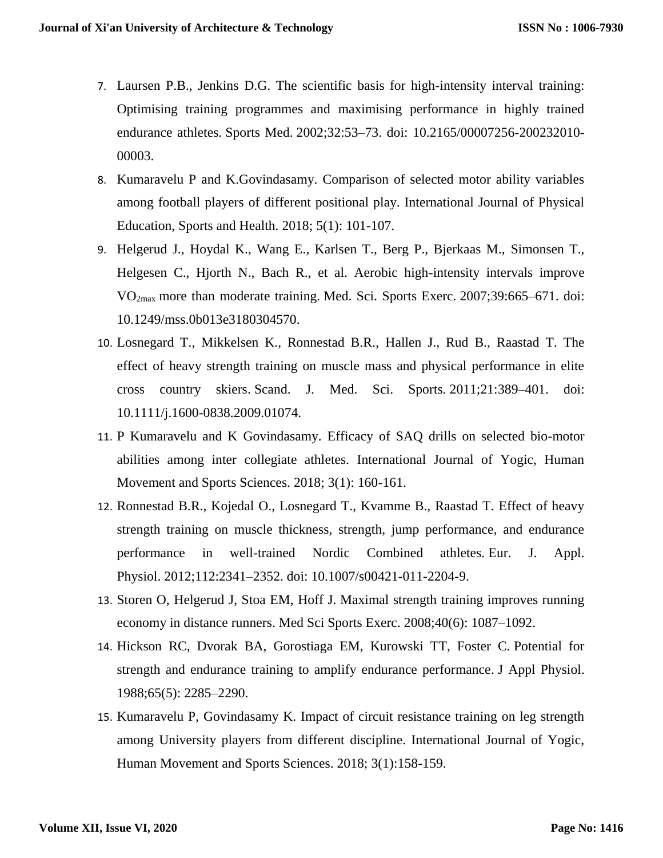- 7. Laursen P.B., Jenkins D.G. The scientific basis for high-intensity interval training: Optimising training programmes and maximising performance in highly trained endurance athletes. Sports Med. 2002;32:53–73. doi: 10.2165/00007256-200232010- 00003.
- 8. Kumaravelu P and K.Govindasamy. Comparison of selected motor ability variables among football players of different positional play. International Journal of Physical Education, Sports and Health. 2018; 5(1): 101-107.
- 9. Helgerud J., Hoydal K., Wang E., Karlsen T., Berg P., Bjerkaas M., Simonsen T., Helgesen C., Hjorth N., Bach R., et al. Aerobic high-intensity intervals improve VO2max more than moderate training. Med. Sci. Sports Exerc. 2007;39:665–671. doi: 10.1249/mss.0b013e3180304570.
- 10. Losnegard T., Mikkelsen K., Ronnestad B.R., Hallen J., Rud B., Raastad T. The effect of heavy strength training on muscle mass and physical performance in elite cross country skiers. Scand. J. Med. Sci. Sports. 2011;21:389–401. doi: 10.1111/j.1600-0838.2009.01074.
- 11. P Kumaravelu and K Govindasamy. Efficacy of SAQ drills on selected bio-motor abilities among inter collegiate athletes. International Journal of Yogic, Human Movement and Sports Sciences. 2018; 3(1): 160-161.
- 12. Ronnestad B.R., Kojedal O., Losnegard T., Kvamme B., Raastad T. Effect of heavy strength training on muscle thickness, strength, jump performance, and endurance performance in well-trained Nordic Combined athletes. Eur. J. Appl. Physiol. 2012;112:2341–2352. doi: 10.1007/s00421-011-2204-9.
- 13. Storen O, Helgerud J, Stoa EM, Hoff J. Maximal strength training improves running economy in distance runners. Med Sci Sports Exerc. 2008;40(6): 1087–1092.
- 14. Hickson RC, Dvorak BA, Gorostiaga EM, Kurowski TT, Foster C. Potential for strength and endurance training to amplify endurance performance. J Appl Physiol. 1988;65(5): 2285–2290.
- 15. Kumaravelu P, Govindasamy K. Impact of circuit resistance training on leg strength among University players from different discipline. International Journal of Yogic, Human Movement and Sports Sciences. 2018; 3(1):158-159.